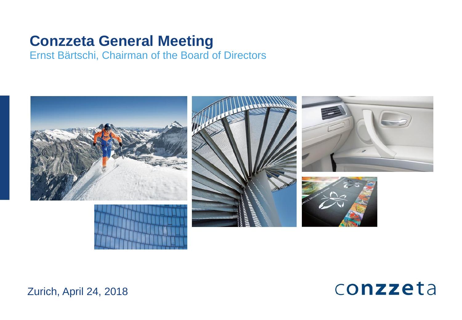# **Conzzeta General Meeting**

Ernst Bärtschi, Chairman of the Board of Directors





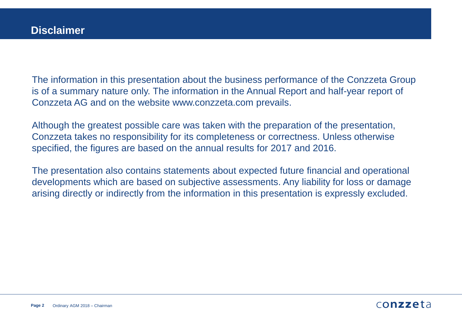The information in this presentation about the business performance of the Conzzeta Group is of a summary nature only. The information in the Annual Report and half-year report of Conzzeta AG and on the website www.conzzeta.com prevails.

Although the greatest possible care was taken with the preparation of the presentation, Conzzeta takes no responsibility for its completeness or correctness. Unless otherwise specified, the figures are based on the annual results for 2017 and 2016.

The presentation also contains statements about expected future financial and operational developments which are based on subjective assessments. Any liability for loss or damage arising directly or indirectly from the information in this presentation is expressly excluded.

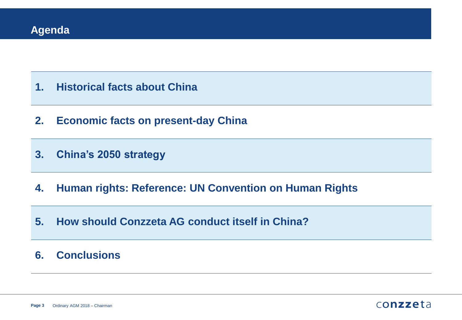- **1. Historical facts about China**
- **2. Economic facts on present-day China**
- **3. China's 2050 strategy**
- **4. Human rights: Reference: UN Convention on Human Rights**
- **5. How should Conzzeta AG conduct itself in China?**

## **6. Conclusions**

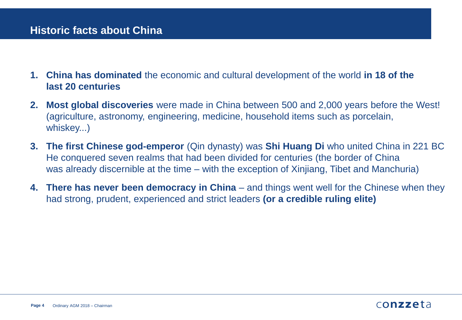# **Historic facts about China**

- **1. China has dominated** the economic and cultural development of the world **in 18 of the last 20 centuries**
- **2. Most global discoveries** were made in China between 500 and 2,000 years before the West! (agriculture, astronomy, engineering, medicine, household items such as porcelain, whiskey...)
- **3. The first Chinese god-emperor** (Qin dynasty) was **Shi Huang Di** who united China in 221 BC He conquered seven realms that had been divided for centuries (the border of China was already discernible at the time – with the exception of Xinjiang, Tibet and Manchuria)
- **4. There has never been democracy in China** and things went well for the Chinese when they had strong, prudent, experienced and strict leaders **(or a credible ruling elite)**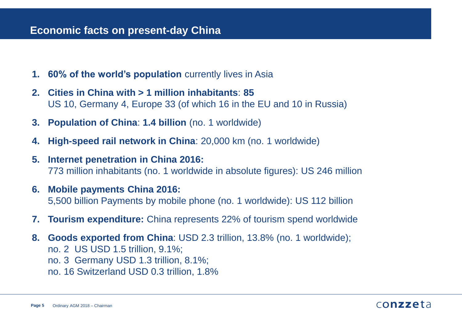### **Economic facts on present-day China**

- **1. 60% of the world's population** currently lives in Asia
- **2. Cities in China with > 1 million inhabitants**: **85**  US 10, Germany 4, Europe 33 (of which 16 in the EU and 10 in Russia)
- **3. Population of China**: **1.4 billion** (no. 1 worldwide)
- **4. High-speed rail network in China**: 20,000 km (no. 1 worldwide)
- **5. Internet penetration in China 2016:** 773 million inhabitants (no. 1 worldwide in absolute figures): US 246 million
- **6. Mobile payments China 2016:** 5,500 billion Payments by mobile phone (no. 1 worldwide): US 112 billion
- **7. Tourism expenditure:** China represents 22% of tourism spend worldwide
- **8. Goods exported from China**: USD 2.3 trillion, 13.8% (no. 1 worldwide); no. 2 US USD 1.5 trillion, 9.1%; no. 3 Germany USD 1.3 trillion, 8.1%;
	- no. 16 Switzerland USD 0.3 trillion, 1.8%

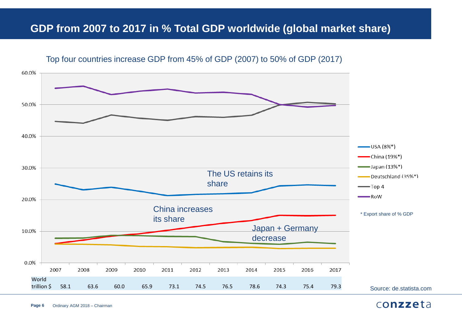# **GDP from 2007 to 2017 in % Total GDP worldwide (global market share)**

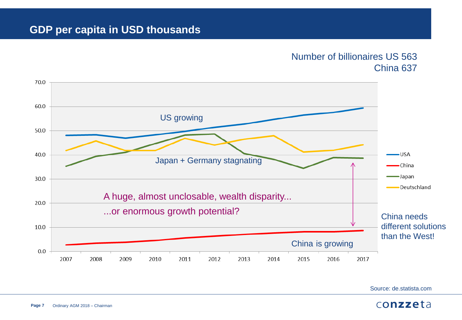### Number of billionaires US 563 China 637



Source: de.statista.com

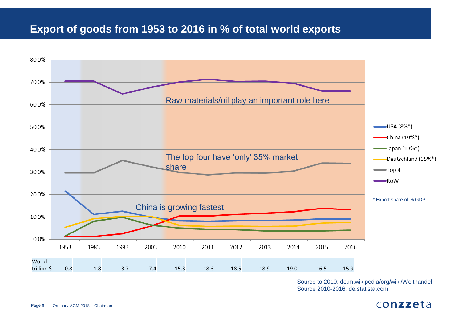# **Export of goods from 1953 to 2016 in % of total world exports**

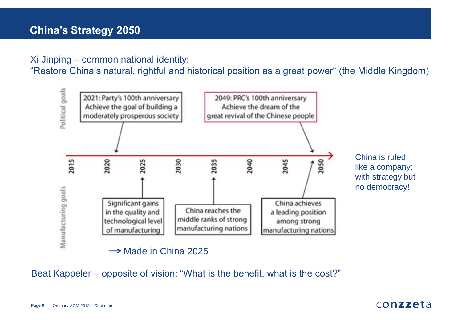### Xi Jinping – common national identity:

"Restore China's natural, rightful and historical position as a great power" (the Middle Kingdom)



Beat Kappeler – opposite of vision: "What is the benefit, what is the cost?"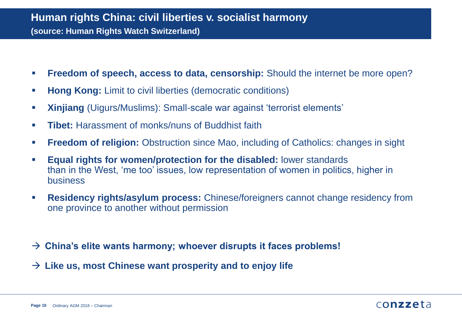# **Human rights China: civil liberties v. socialist harmony (source: Human Rights Watch Switzerland)**

- **Freedom of speech, access to data, censorship:** Should the internet be more open?
- **Hong Kong:** Limit to civil liberties (democratic conditions)
- **Xinjiang** (Uigurs/Muslims): Small-scale war against 'terrorist elements'
- **Tibet:** Harassment of monks/nuns of Buddhist faith
- **Freedom of religion:** Obstruction since Mao, including of Catholics: changes in sight
- **Equal rights for women/protection for the disabled:** lower standards than in the West, 'me too' issues, low representation of women in politics, higher in business
- **Residency rights/asylum process:** Chinese/foreigners cannot change residency from one province to another without permission
- **China's elite wants harmony; whoever disrupts it faces problems!**
- **Like us, most Chinese want prosperity and to enjoy life**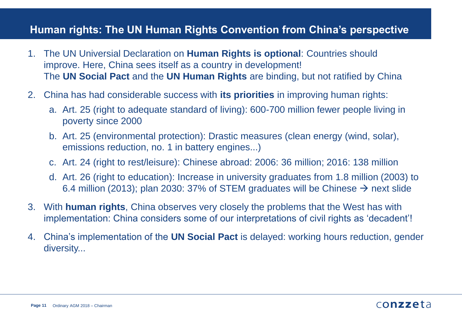# **Human rights: The UN Human Rights Convention from China's perspective**

- 1. The UN Universial Declaration on **Human Rights is optional**: Countries should improve. Here, China sees itself as a country in development! The **UN Social Pact** and the **UN Human Rights** are binding, but not ratified by China
- 2. China has had considerable success with **its priorities** in improving human rights:
	- a. Art. 25 (right to adequate standard of living): 600-700 million fewer people living in poverty since 2000
	- b. Art. 25 (environmental protection): Drastic measures (clean energy (wind, solar), emissions reduction, no. 1 in battery engines...)
	- c. Art. 24 (right to rest/leisure): Chinese abroad: 2006: 36 million; 2016: 138 million
	- d. Art. 26 (right to education): Increase in university graduates from 1.8 million (2003) to 6.4 million (2013); plan 2030: 37% of STEM graduates will be Chinese  $\rightarrow$  next slide
- 3. With **human rights**, China observes very closely the problems that the West has with implementation: China considers some of our interpretations of civil rights as 'decadent'!
- 4. China's implementation of the **UN Social Pact** is delayed: working hours reduction, gender diversity...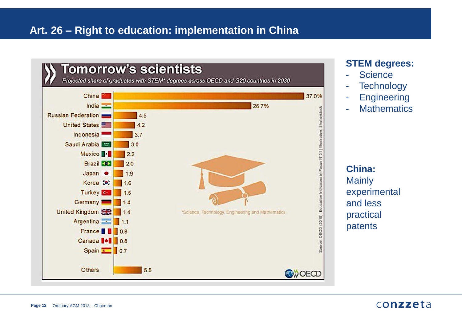# **Art. 26 – Right to education: implementation in China**



### **STEM degrees:**

- **Science**
- **Technology**
- **Engineering**
- Mathematics

**China: Mainly** experimental and less practical patents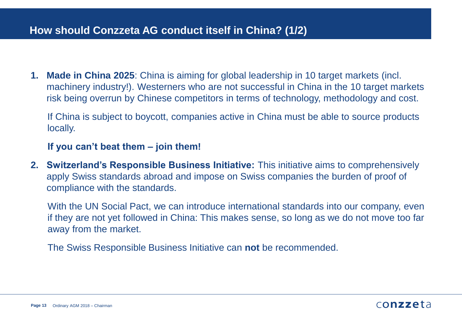# **How should Conzzeta AG conduct itself in China? (1/2)**

**1. Made in China 2025**: China is aiming for global leadership in 10 target markets (incl. machinery industry!). Westerners who are not successful in China in the 10 target markets risk being overrun by Chinese competitors in terms of technology, methodology and cost.

If China is subject to boycott, companies active in China must be able to source products locally.

### **If you can't beat them – join them!**

**2. Switzerland's Responsible Business Initiative:** This initiative aims to comprehensively apply Swiss standards abroad and impose on Swiss companies the burden of proof of compliance with the standards.

With the UN Social Pact, we can introduce international standards into our company, even if they are not yet followed in China: This makes sense, so long as we do not move too far away from the market.

The Swiss Responsible Business Initiative can **not** be recommended.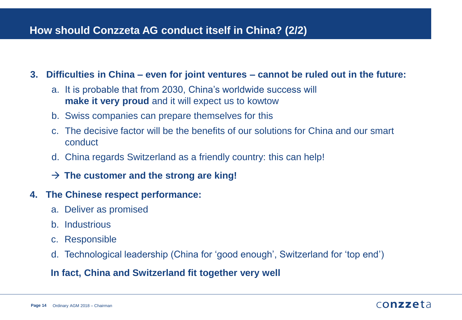# **How should Conzzeta AG conduct itself in China? (2/2)**

### **3. Difficulties in China – even for joint ventures – cannot be ruled out in the future:**

- a. It is probable that from 2030, China's worldwide success will **make it very proud** and it will expect us to kowtow
- b. Swiss companies can prepare themselves for this
- c. The decisive factor will be the benefits of our solutions for China and our smart conduct
- d. China regards Switzerland as a friendly country: this can help!
- **The customer and the strong are king!**

### **4. The Chinese respect performance:**

- a. Deliver as promised
- b. Industrious
- c. Responsible
- d. Technological leadership (China for 'good enough', Switzerland for 'top end')

### **In fact, China and Switzerland fit together very well**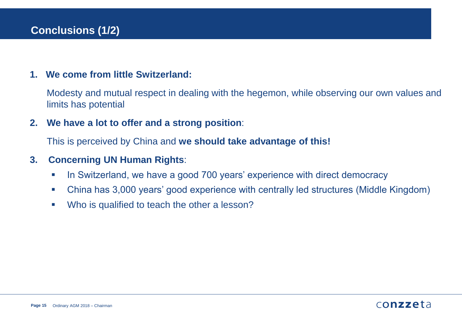### **1. We come from little Switzerland:**

Modesty and mutual respect in dealing with the hegemon, while observing our own values and limits has potential

**2. We have a lot to offer and a strong position**:

This is perceived by China and **we should take advantage of this!**

### **3. Concerning UN Human Rights**:

- In Switzerland, we have a good 700 years' experience with direct democracy
- China has 3,000 years' good experience with centrally led structures (Middle Kingdom)
- Who is qualified to teach the other a lesson?